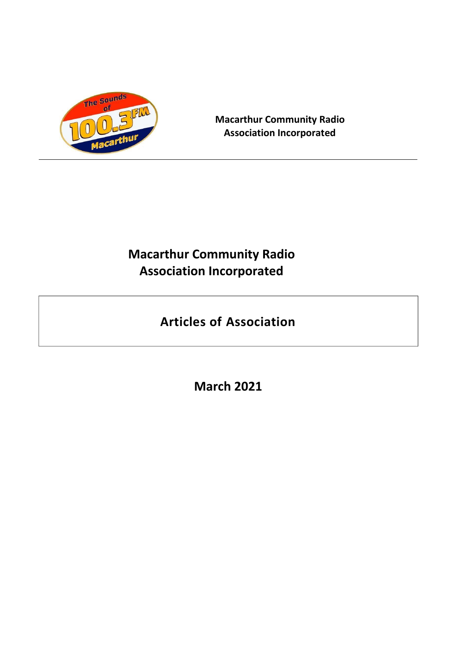

**Macarthur Community Radio Association Incorporated**

# **Macarthur Community Radio Association Incorporated**

# **Articles of Association**

**March 2021**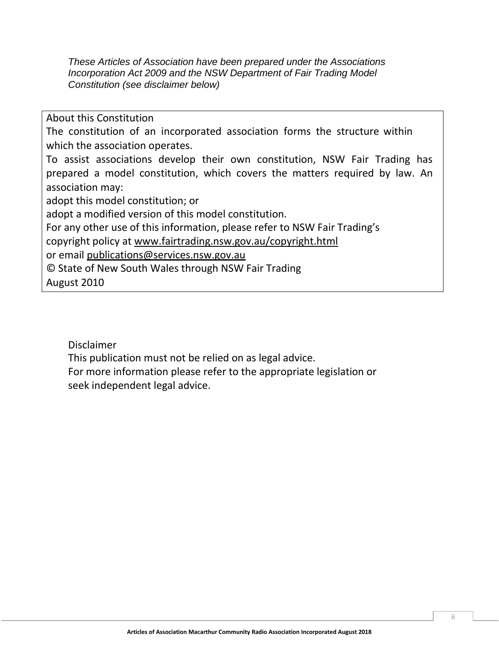*These Articles of Association have been prepared under the Associations Incorporation Act 2009 and the NSW Department of Fair Trading Model Constitution (see disclaimer below)*

About this Constitution

The constitution of an incorporated association forms the structure within which the association operates.

To assist associations develop their own constitution, NSW Fair Trading has prepared a model constitution, which covers the matters required by law. An association may:

adopt this model constitution; or

adopt a modified version of this model constitution.

For any other use of this information, please refer to NSW Fair Trading's

copyright policy at [www.fairtrading.nsw.gov.au/copyright.html](http://www.fairtrading.nsw.gov.au/copyright.html)

or email [publications@services.nsw.gov.au](mailto:publications@services.nsw.gov.au)

© State of New South Wales through NSW Fair Trading

August 2010

Disclaimer

This publication must not be relied on as legal advice.

For more information please refer to the appropriate legislation or seek independent legal advice.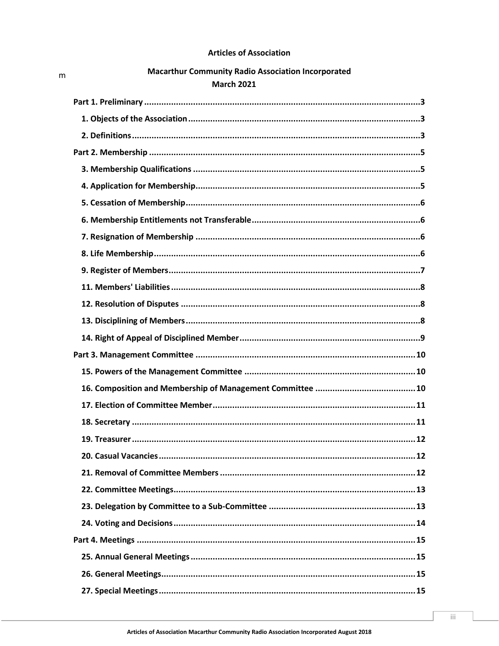# **Articles of Association**

| <b>Macarthur Community Radio Association Incorporated</b> |  |
|-----------------------------------------------------------|--|
| <b>March 2021</b>                                         |  |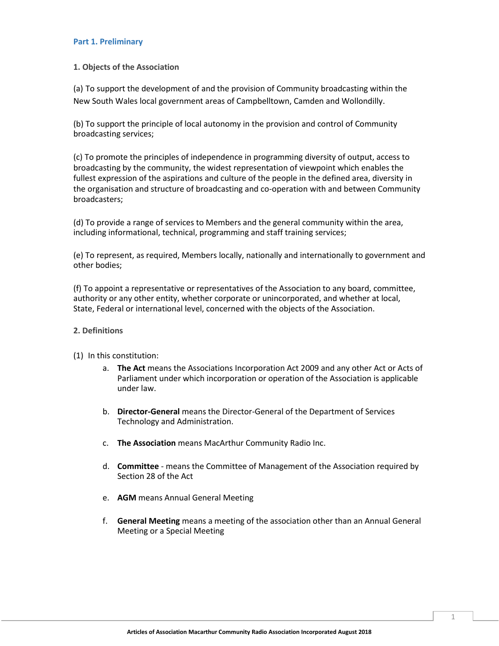#### <span id="page-4-0"></span>**Part 1. Preliminary**

# **1. Objects of the Association**

(a) To support the development of and the provision of Community broadcasting within the New South Wales local government areas of Campbelltown, Camden and Wollondilly.

(b) To support the principle of local autonomy in the provision and control of Community broadcasting services;

(c) To promote the principles of independence in programming diversity of output, access to broadcasting by the community, the widest representation of viewpoint which enables the fullest expression of the aspirations and culture of the people in the defined area, diversity in the organisation and structure of broadcasting and co-operation with and between Community broadcasters;

(d) To provide a range of services to Members and the general community within the area, including informational, technical, programming and staff training services;

(e) To represent, as required, Members locally, nationally and internationally to government and other bodies;

(f) To appoint a representative or representatives of the Association to any board, committee, authority or any other entity, whether corporate or unincorporated, and whether at local, State, Federal or international level, concerned with the objects of the Association.

#### **2. Definitions**

- (1) In this constitution:
	- a. **The Act** means the Associations Incorporation Act 2009 and any other Act or Acts of Parliament under which incorporation or operation of the Association is applicable under law.
	- b. **Director-General** means the Director-General of the Department of Services Technology and Administration.
	- c. **The Association** means MacArthur Community Radio Inc.
	- d. **Committee**  means the Committee of Management of the Association required by Section 28 of the Act
	- e. **AGM** means Annual General Meeting
	- f. **General Meeting** means a meeting of the association other than an Annual General Meeting or a Special Meeting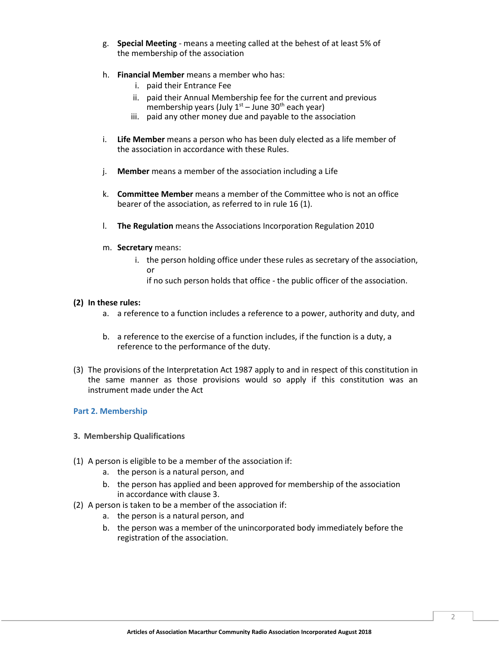- g. **Special Meeting**  means a meeting called at the behest of at least 5% of the membership of the association
- h. **Financial Member** means a member who has:
	- i. paid their Entrance Fee
	- ii. paid their Annual Membership fee for the current and previous membership years (July  $1<sup>st</sup>$  – June 30<sup>th</sup> each year)
	- iii. paid any other money due and payable to the association
- i. **Life Member** means a person who has been duly elected as a life member of the association in accordance with these Rules.
- j. **Member** means a member of the association including a Life
- k. **Committee Member** means a member of the Committee who is not an office bearer of the association, as referred to in rule 16 (1).
- l. **The Regulation** means the Associations Incorporation Regulation 2010
- m. **Secretary** means:
	- i. the person holding office under these rules as secretary of the association, or
		- if no such person holds that office the public officer of the association.

# **(2) In these rules:**

- a. a reference to a function includes a reference to a power, authority and duty, and
- b. a reference to the exercise of a function includes, if the function is a duty, a reference to the performance of the duty.
- (3) The provisions of the Interpretation Act 1987 apply to and in respect of this constitution in the same manner as those provisions would so apply if this constitution was an instrument made under the Act

# <span id="page-5-0"></span>**Part 2. Membership**

- **3. Membership Qualifications**
- (1) A person is eligible to be a member of the association if:
	- a. the person is a natural person, and
	- b. the person has applied and been approved for membership of the association in accordance with clause 3.
- (2) A person is taken to be a member of the association if:
	- a. the person is a natural person, and
	- b. the person was a member of the unincorporated body immediately before the registration of the association.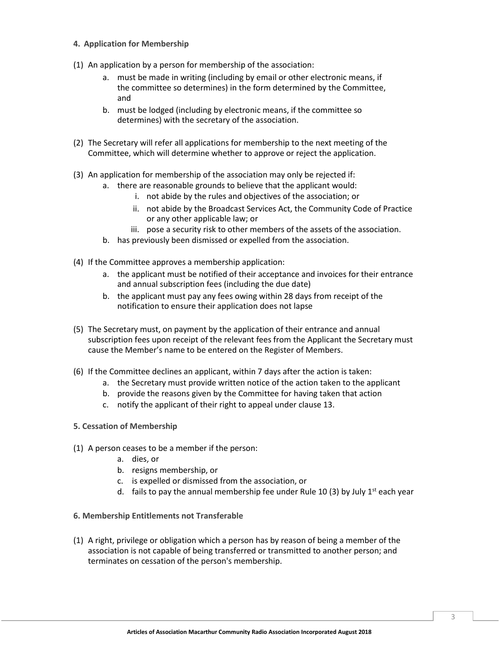- **4. Application for Membership**
- (1) An application by a person for membership of the association:
	- a. must be made in writing (including by email or other electronic means, if the committee so determines) in the form determined by the Committee, and
	- b. must be lodged (including by electronic means, if the committee so determines) with the secretary of the association.
- (2) The Secretary will refer all applications for membership to the next meeting of the Committee, which will determine whether to approve or reject the application.
- (3) An application for membership of the association may only be rejected if:
	- a. there are reasonable grounds to believe that the applicant would:
		- i. not abide by the rules and objectives of the association; or
		- ii. not abide by the Broadcast Services Act, the Community Code of Practice or any other applicable law; or
		- iii. pose a security risk to other members of the assets of the association.
	- b. has previously been dismissed or expelled from the association.
- (4) If the Committee approves a membership application:
	- a. the applicant must be notified of their acceptance and invoices for their entrance and annual subscription fees (including the due date)
	- b. the applicant must pay any fees owing within 28 days from receipt of the notification to ensure their application does not lapse
- (5) The Secretary must, on payment by the application of their entrance and annual subscription fees upon receipt of the relevant fees from the Applicant the Secretary must cause the Member's name to be entered on the Register of Members.
- (6) If the Committee declines an applicant, within 7 days after the action is taken:
	- a. the Secretary must provide written notice of the action taken to the applicant
	- b. provide the reasons given by the Committee for having taken that action
	- c. notify the applicant of their right to appeal under clause 13.
- <span id="page-6-0"></span>**5. Cessation of Membership**
- (1) A person ceases to be a member if the person:
	- a. dies, or
	- b. resigns membership, or
	- c. is expelled or dismissed from the association, or
	- d. fails to pay the annual membership fee under Rule 10 (3) by July  $1^{st}$  each year
- **6. Membership Entitlements not Transferable**
- (1) A right, privilege or obligation which a person has by reason of being a member of the association is not capable of being transferred or transmitted to another person; and terminates on cessation of the person's membership.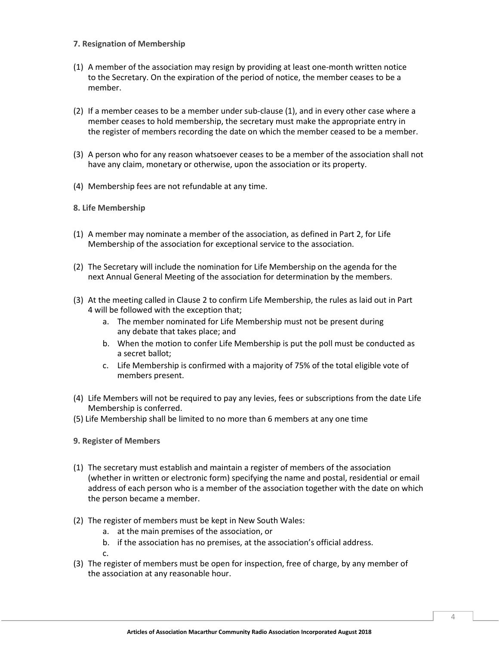# **7. Resignation of Membership**

- (1) A member of the association may resign by providing at least one-month written notice to the Secretary. On the expiration of the period of notice, the member ceases to be a member.
- (2) If a member ceases to be a member under sub-clause (1), and in every other case where a member ceases to hold membership, the secretary must make the appropriate entry in the register of members recording the date on which the member ceased to be a member.
- (3) A person who for any reason whatsoever ceases to be a member of the association shall not have any claim, monetary or otherwise, upon the association or its property.
- (4) Membership fees are not refundable at any time.
- **8. Life Membership**
- (1) A member may nominate a member of the association, as defined in Part 2, for Life Membership of the association for exceptional service to the association.
- (2) The Secretary will include the nomination for Life Membership on the agenda for the next Annual General Meeting of the association for determination by the members.
- (3) At the meeting called in Clause 2 to confirm Life Membership, the rules as laid out in Part 4 will be followed with the exception that;
	- a. The member nominated for Life Membership must not be present during any debate that takes place; and
	- b. When the motion to confer Life Membership is put the poll must be conducted as a secret ballot;
	- c. Life Membership is confirmed with a majority of 75% of the total eligible vote of members present.
- (4) Life Members will not be required to pay any levies, fees or subscriptions from the date Life Membership is conferred.
- <span id="page-7-0"></span>(5) Life Membership shall be limited to no more than 6 members at any one time

#### **9. Register of Members**

- (1) The secretary must establish and maintain a register of members of the association (whether in written or electronic form) specifying the name and postal, residential or email address of each person who is a member of the association together with the date on which the person became a member.
- (2) The register of members must be kept in New South Wales:
	- a. at the main premises of the association, or
	- b. if the association has no premises, at the association's official address.

c.

(3) The register of members must be open for inspection, free of charge, by any member of the association at any reasonable hour.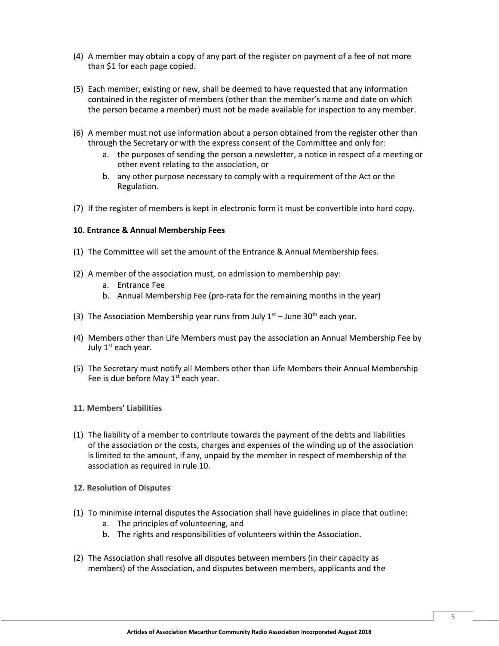- (4) A member may obtain a copy of any part of the register on payment of a fee of not more than \$1 for each page copied.
- (5) Each member, existing or new, shall be deemed to have requested that any information contained in the register of members (other than the member's name and date on which the person became a member) must not be made available for inspection to any member.
- (6) A member must not use information about a person obtained from the register other than through the Secretary or with the express consent of the Committee and only for:
	- a. the purposes of sending the person a newsletter, a notice in respect of a meeting or other event relating to the association, or
	- b. any other purpose necessary to comply with a requirement of the Act or the Regulation.
- (7) If the register of members is kept in electronic form it must be convertible into hard copy.

#### **10. Entrance & Annual Membership Fees**

- (1) The Committee will set the amount of the Entrance & Annual Membership fees.
- (2) A member of the association must, on admission to membership pay:
	- a. Entrance Fee
	- b. Annual Membership Fee (pro-rata for the remaining months in the year)
- (3) The Association Membership year runs from July  $1<sup>st</sup>$  June 30<sup>th</sup> each year.
- (4) Members other than Life Members must pay the association an Annual Membership Fee by July  $1<sup>st</sup>$  each year.
- (5) The Secretary must notify all Members other than Life Members their Annual Membership Fee is due before May  $1<sup>st</sup>$  each year.
- <span id="page-8-0"></span>**11. Members' Liabilities**
- (1) The liability of a member to contribute towards the payment of the debts and liabilities of the association or the costs, charges and expenses of the winding up of the association is limited to the amount, if any, unpaid by the member in respect of membership of the association as required in rule 10.
- **12. Resolution of Disputes**
- (1) To minimise internal disputes the Association shall have guidelines in place that outline:
	- a. The principles of volunteering, and
	- b. The rights and responsibilities of volunteers within the Association.
- (2) The Association shall resolve all disputes between members (in their capacity as members) of the Association, and disputes between members, applicants and the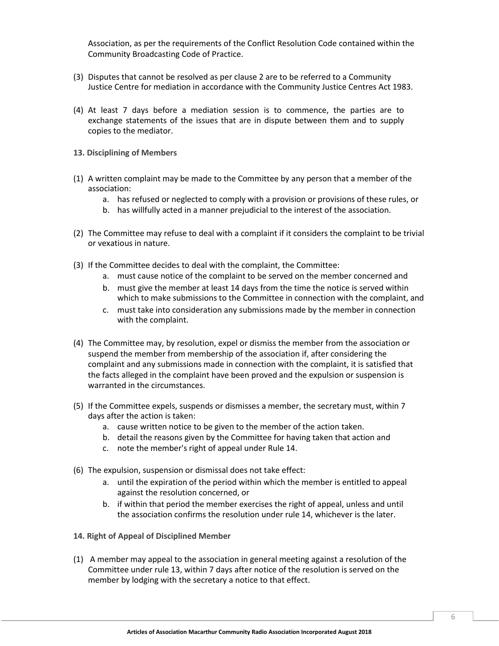Association, as per the requirements of the Conflict Resolution Code contained within the Community Broadcasting Code of Practice.

- (3) Disputes that cannot be resolved as per clause 2 are to be referred to a Community Justice Centre for mediation in accordance with the Community Justice Centres Act 1983.
- (4) At least 7 days before a mediation session is to commence, the parties are to exchange statements of the issues that are in dispute between them and to supply copies to the mediator.
- **13. Disciplining of Members**
- (1) A written complaint may be made to the Committee by any person that a member of the association:
	- a. has refused or neglected to comply with a provision or provisions of these rules, or
	- b. has willfully acted in a manner prejudicial to the interest of the association.
- (2) The Committee may refuse to deal with a complaint if it considers the complaint to be trivial or vexatious in nature.
- (3) If the Committee decides to deal with the complaint, the Committee:
	- a. must cause notice of the complaint to be served on the member concerned and
	- b. must give the member at least 14 days from the time the notice is served within which to make submissions to the Committee in connection with the complaint, and
	- c. must take into consideration any submissions made by the member in connection with the complaint.
- (4) The Committee may, by resolution, expel or dismiss the member from the association or suspend the member from membership of the association if, after considering the complaint and any submissions made in connection with the complaint, it is satisfied that the facts alleged in the complaint have been proved and the expulsion or suspension is warranted in the circumstances.
- <span id="page-9-0"></span>(5) If the Committee expels, suspends or dismisses a member, the secretary must, within 7 days after the action is taken:
	- a. cause written notice to be given to the member of the action taken.
	- b. detail the reasons given by the Committee for having taken that action and
	- c. note the member's right of appeal under Rule 14.
- (6) The expulsion, suspension or dismissal does not take effect:
	- a. until the expiration of the period within which the member is entitled to appeal against the resolution concerned, or
	- b. if within that period the member exercises the right of appeal, unless and until the association confirms the resolution under rule 14, whichever is the later.
- **14. Right of Appeal of Disciplined Member**
- (1) A member may appeal to the association in general meeting against a resolution of the Committee under rule 13, within 7 days after notice of the resolution is served on the member by lodging with the secretary a notice to that effect.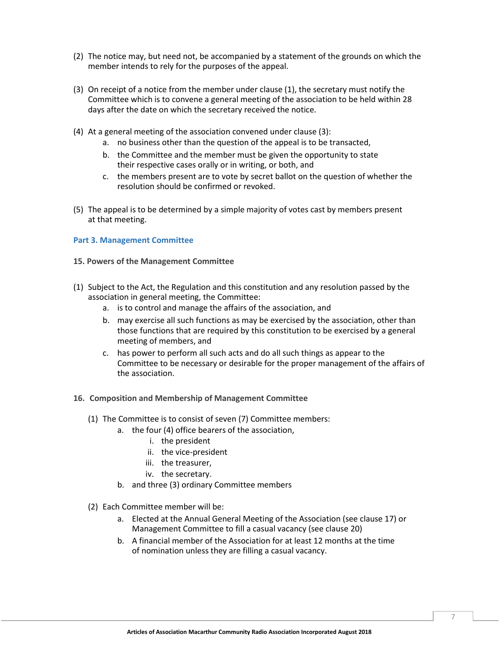- (2) The notice may, but need not, be accompanied by a statement of the grounds on which the member intends to rely for the purposes of the appeal.
- (3) On receipt of a notice from the member under clause (1), the secretary must notify the Committee which is to convene a general meeting of the association to be held within 28 days after the date on which the secretary received the notice.
- (4) At a general meeting of the association convened under clause (3):
	- a. no business other than the question of the appeal is to be transacted,
	- b. the Committee and the member must be given the opportunity to state their respective cases orally or in writing, or both, and
	- c. the members present are to vote by secret ballot on the question of whether the resolution should be confirmed or revoked.
- (5) The appeal is to be determined by a simple majority of votes cast by members present at that meeting.

#### <span id="page-10-0"></span>**Part 3. Management Committee**

- **15. Powers of the Management Committee**
- (1) Subject to the Act, the Regulation and this constitution and any resolution passed by the association in general meeting, the Committee:
	- a. is to control and manage the affairs of the association, and
	- b. may exercise all such functions as may be exercised by the association, other than those functions that are required by this constitution to be exercised by a general meeting of members, and
	- c. has power to perform all such acts and do all such things as appear to the Committee to be necessary or desirable for the proper management of the affairs of the association.
- **16. Composition and Membership of Management Committee**
	- (1) The Committee is to consist of seven (7) Committee members:
		- a. the four (4) office bearers of the association,
			- i. the president
			- ii. the vice-president
			- iii. the treasurer,
			- iv. the secretary.
		- b. and three (3) ordinary Committee members
	- (2) Each Committee member will be:
		- a. Elected at the Annual General Meeting of the Association (see clause 17) or Management Committee to fill a casual vacancy (see clause 20)
		- b. A financial member of the Association for at least 12 months at the time of nomination unless they are filling a casual vacancy.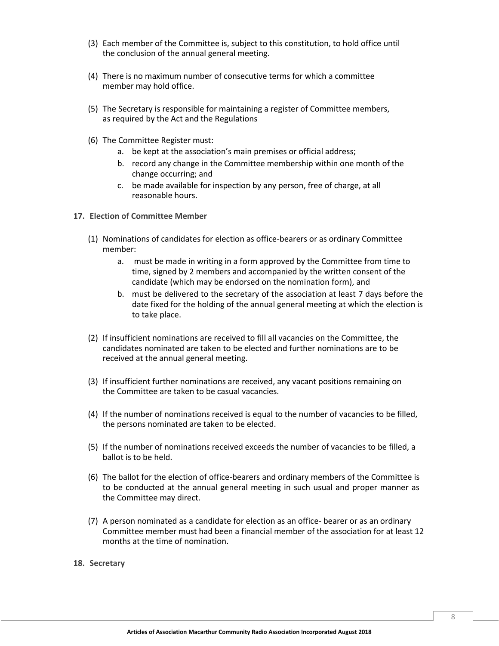- (3) Each member of the Committee is, subject to this constitution, to hold office until the conclusion of the annual general meeting.
- (4) There is no maximum number of consecutive terms for which a committee member may hold office.
- (5) The Secretary is responsible for maintaining a register of Committee members, as required by the Act and the Regulations
- (6) The Committee Register must:
	- a. be kept at the association's main premises or official address;
	- b. record any change in the Committee membership within one month of the change occurring; and
	- c. be made available for inspection by any person, free of charge, at all reasonable hours.
- <span id="page-11-0"></span>**17. Election of Committee Member**
	- (1) Nominations of candidates for election as office-bearers or as ordinary Committee member:
		- a. must be made in writing in a form approved by the Committee from time to time, signed by 2 members and accompanied by the written consent of the candidate (which may be endorsed on the nomination form), and
		- b. must be delivered to the secretary of the association at least 7 days before the date fixed for the holding of the annual general meeting at which the election is to take place.
	- (2) If insufficient nominations are received to fill all vacancies on the Committee, the candidates nominated are taken to be elected and further nominations are to be received at the annual general meeting.
	- (3) If insufficient further nominations are received, any vacant positions remaining on the Committee are taken to be casual vacancies.
	- (4) If the number of nominations received is equal to the number of vacancies to be filled, the persons nominated are taken to be elected.
	- (5) If the number of nominations received exceeds the number of vacancies to be filled, a ballot is to be held.
	- (6) The ballot for the election of office-bearers and ordinary members of the Committee is to be conducted at the annual general meeting in such usual and proper manner as the Committee may direct.
	- (7) A person nominated as a candidate for election as an office- bearer or as an ordinary Committee member must had been a financial member of the association for at least 12 months at the time of nomination.
- **18. Secretary**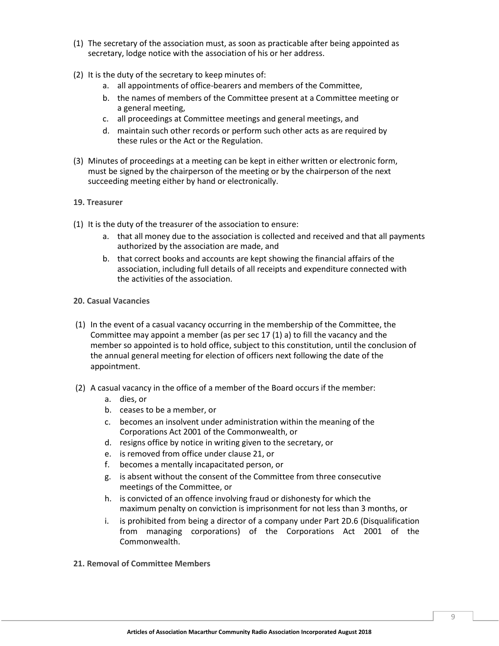- (1) The secretary of the association must, as soon as practicable after being appointed as secretary, lodge notice with the association of his or her address.
- (2) It is the duty of the secretary to keep minutes of:
	- a. all appointments of office-bearers and members of the Committee,
	- b. the names of members of the Committee present at a Committee meeting or a general meeting,
	- c. all proceedings at Committee meetings and general meetings, and
	- d. maintain such other records or perform such other acts as are required by these rules or the Act or the Regulation.
- (3) Minutes of proceedings at a meeting can be kept in either written or electronic form, must be signed by the chairperson of the meeting or by the chairperson of the next succeeding meeting either by hand or electronically.

#### <span id="page-12-0"></span>**19. Treasurer**

- (1) It is the duty of the treasurer of the association to ensure:
	- a. that all money due to the association is collected and received and that all payments authorized by the association are made, and
	- b. that correct books and accounts are kept showing the financial affairs of the association, including full details of all receipts and expenditure connected with the activities of the association.
- **20. Casual Vacancies**
- (1) In the event of a casual vacancy occurring in the membership of the Committee, the Committee may appoint a member (as per sec 17 (1) a) to fill the vacancy and the member so appointed is to hold office, subject to this constitution, until the conclusion of the annual general meeting for election of officers next following the date of the appointment.
- (2) A casual vacancy in the office of a member of the Board occurs if the member:
	- a. dies, or
	- b. ceases to be a member, or
	- c. becomes an insolvent under administration within the meaning of the Corporations Act 2001 of the Commonwealth, or
	- d. resigns office by notice in writing given to the secretary, or
	- e. is removed from office under clause 21, or
	- f. becomes a mentally incapacitated person, or
	- g. is absent without the consent of the Committee from three consecutive meetings of the Committee, or
	- h. is convicted of an offence involving fraud or dishonesty for which the maximum penalty on conviction is imprisonment for not less than 3 months, or
	- i. is prohibited from being a director of a company under Part 2D.6 (Disqualification from managing corporations) of the Corporations Act 2001 of the Commonwealth.
- **21. Removal of Committee Members**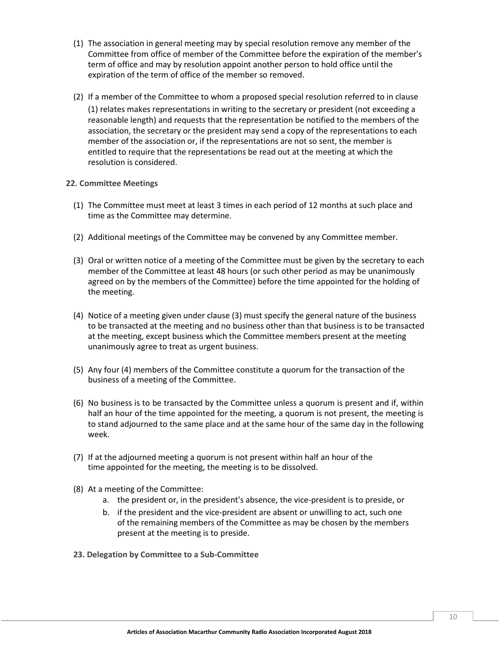- (1) The association in general meeting may by special resolution remove any member of the Committee from office of member of the Committee before the expiration of the member's term of office and may by resolution appoint another person to hold office until the expiration of the term of office of the member so removed.
- (2) If a member of the Committee to whom a proposed special resolution referred to in clause (1) relates makes representations in writing to the secretary or president (not exceeding a reasonable length) and requests that the representation be notified to the members of the association, the secretary or the president may send a copy of the representations to each member of the association or, if the representations are not so sent, the member is entitled to require that the representations be read out at the meeting at which the resolution is considered.

# **22. Committee Meetings**

- <span id="page-13-0"></span>(1) The Committee must meet at least 3 times in each period of 12 months at such place and time as the Committee may determine.
- (2) Additional meetings of the Committee may be convened by any Committee member.
- (3) Oral or written notice of a meeting of the Committee must be given by the secretary to each member of the Committee at least 48 hours (or such other period as may be unanimously agreed on by the members of the Committee) before the time appointed for the holding of the meeting.
- (4) Notice of a meeting given under clause (3) must specify the general nature of the business to be transacted at the meeting and no business other than that business is to be transacted at the meeting, except business which the Committee members present at the meeting unanimously agree to treat as urgent business.
- (5) Any four (4) members of the Committee constitute a quorum for the transaction of the business of a meeting of the Committee.
- (6) No business is to be transacted by the Committee unless a quorum is present and if, within half an hour of the time appointed for the meeting, a quorum is not present, the meeting is to stand adjourned to the same place and at the same hour of the same day in the following week.
- (7) If at the adjourned meeting a quorum is not present within half an hour of the time appointed for the meeting, the meeting is to be dissolved.
- (8) At a meeting of the Committee:
	- a. the president or, in the president's absence, the vice-president is to preside, or
	- b. if the president and the vice-president are absent or unwilling to act, such one of the remaining members of the Committee as may be chosen by the members present at the meeting is to preside.
- **23. Delegation by Committee to a Sub-Committee**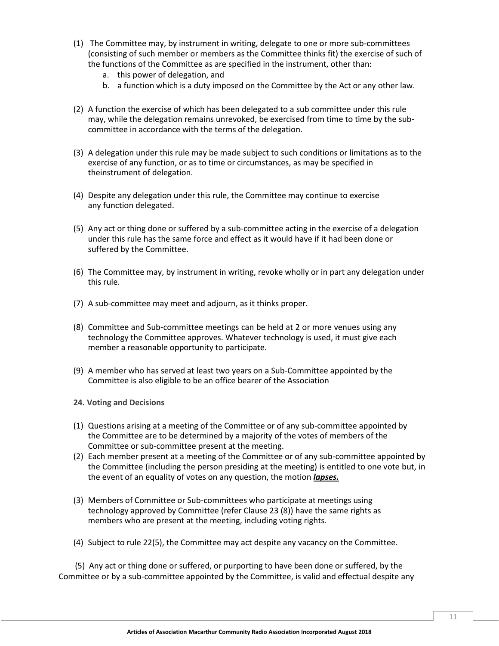- (1) The Committee may, by instrument in writing, delegate to one or more sub-committees (consisting of such member or members as the Committee thinks fit) the exercise of such of the functions of the Committee as are specified in the instrument, other than:
	- a. this power of delegation, and
	- b. a function which is a duty imposed on the Committee by the Act or any other law.
- (2) A function the exercise of which has been delegated to a sub committee under this rule may, while the delegation remains unrevoked, be exercised from time to time by the subcommittee in accordance with the terms of the delegation.
- <span id="page-14-0"></span>(3) A delegation under this rule may be made subject to such conditions or limitations as to the exercise of any function, or as to time or circumstances, as may be specified in theinstrument of delegation.
- (4) Despite any delegation under this rule, the Committee may continue to exercise any function delegated.
- (5) Any act or thing done or suffered by a sub-committee acting in the exercise of a delegation under this rule has the same force and effect as it would have if it had been done or suffered by the Committee.
- (6) The Committee may, by instrument in writing, revoke wholly or in part any delegation under this rule.
- (7) A sub-committee may meet and adjourn, as it thinks proper.
- (8) Committee and Sub-committee meetings can be held at 2 or more venues using any technology the Committee approves. Whatever technology is used, it must give each member a reasonable opportunity to participate.
- (9) A member who has served at least two years on a Sub-Committee appointed by the Committee is also eligible to be an office bearer of the Association
- **24. Voting and Decisions**
- (1) Questions arising at a meeting of the Committee or of any sub-committee appointed by the Committee are to be determined by a majority of the votes of members of the Committee or sub-committee present at the meeting.
- (2) Each member present at a meeting of the Committee or of any sub-committee appointed by the Committee (including the person presiding at the meeting) is entitled to one vote but, in the event of an equality of votes on any question, the motion *lapses.*
- (3) Members of Committee or Sub-committees who participate at meetings using technology approved by Committee (refer Clause 23 (8)) have the same rights as members who are present at the meeting, including voting rights.
- (4) Subject to rule 22(5), the Committee may act despite any vacancy on the Committee.

 (5) Any act or thing done or suffered, or purporting to have been done or suffered, by the Committee or by a sub-committee appointed by the Committee, is valid and effectual despite any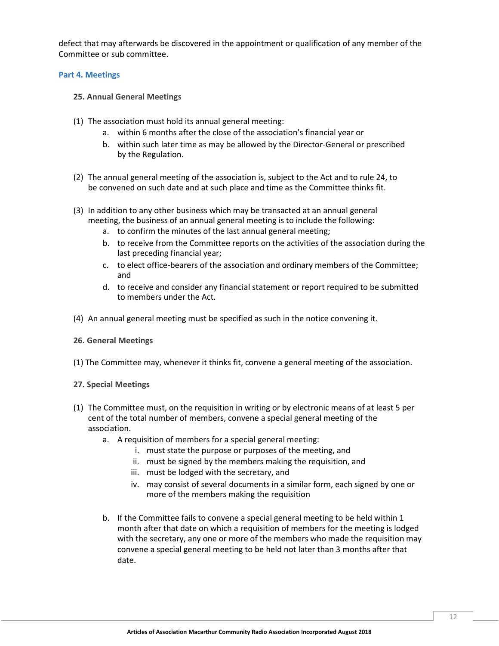defect that may afterwards be discovered in the appointment or qualification of any member of the Committee or sub committee.

# **Part 4. Meetings**

- <span id="page-15-0"></span>**25. Annual General Meetings**
- (1) The association must hold its annual general meeting:
	- a. within 6 months after the close of the association's financial year or
	- b. within such later time as may be allowed by the Director-General or prescribed by the Regulation.
- (2) The annual general meeting of the association is, subject to the Act and to rule 24, to be convened on such date and at such place and time as the Committee thinks fit.
- (3) In addition to any other business which may be transacted at an annual general meeting, the business of an annual general meeting is to include the following:
	- a. to confirm the minutes of the last annual general meeting;
	- b. to receive from the Committee reports on the activities of the association during the last preceding financial year;
	- c. to elect office-bearers of the association and ordinary members of the Committee; and
	- d. to receive and consider any financial statement or report required to be submitted to members under the Act.
- (4) An annual general meeting must be specified as such in the notice convening it.

#### **26. General Meetings**

(1) The Committee may, whenever it thinks fit, convene a general meeting of the association.

# **27. Special Meetings**

- (1) The Committee must, on the requisition in writing or by electronic means of at least 5 per cent of the total number of members, convene a special general meeting of the association.
	- a. A requisition of members for a special general meeting:
		- i. must state the purpose or purposes of the meeting, and
		- ii. must be signed by the members making the requisition, and
		- iii. must be lodged with the secretary, and
		- iv. may consist of several documents in a similar form, each signed by one or more of the members making the requisition
	- b. If the Committee fails to convene a special general meeting to be held within 1 month after that date on which a requisition of members for the meeting is lodged with the secretary, any one or more of the members who made the requisition may convene a special general meeting to be held not later than 3 months after that date.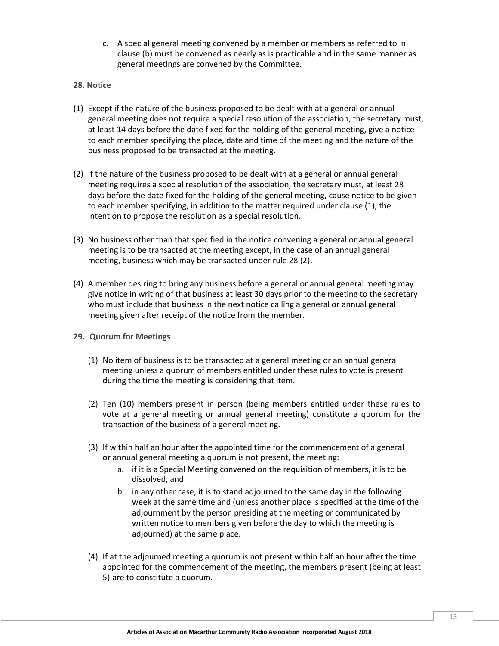- c. A special general meeting convened by a member or members as referred to in clause (b) must be convened as nearly as is practicable and in the same manner as general meetings are convened by the Committee.
- <span id="page-16-0"></span>**28. Notice**
- (1) Except if the nature of the business proposed to be dealt with at a general or annual general meeting does not require a special resolution of the association, the secretary must, at least 14 days before the date fixed for the holding of the general meeting, give a notice to each member specifying the place, date and time of the meeting and the nature of the business proposed to be transacted at the meeting.
- (2) If the nature of the business proposed to be dealt with at a general or annual general meeting requires a special resolution of the association, the secretary must, at least 28 days before the date fixed for the holding of the general meeting, cause notice to be given to each member specifying, in addition to the matter required under clause (1), the intention to propose the resolution as a special resolution.
- (3) No business other than that specified in the notice convening a general or annual general meeting is to be transacted at the meeting except, in the case of an annual general meeting, business which may be transacted under rule 28 (2).
- (4) A member desiring to bring any business before a general or annual general meeting may give notice in writing of that business at least 30 days prior to the meeting to the secretary who must include that business in the next notice calling a general or annual general meeting given after receipt of the notice from the member.
- **29. Quorum for Meetings**
	- (1) No item of business is to be transacted at a general meeting or an annual general meeting unless a quorum of members entitled under these rules to vote is present during the time the meeting is considering that item.
	- (2) Ten (10) members present in person (being members entitled under these rules to vote at a general meeting or annual general meeting) constitute a quorum for the transaction of the business of a general meeting.
	- (3) If within half an hour after the appointed time for the commencement of a general or annual general meeting a quorum is not present, the meeting:
		- a. if it is a Special Meeting convened on the requisition of members, it is to be dissolved, and
		- b. in any other case, it is to stand adjourned to the same day in the following week at the same time and (unless another place is specified at the time of the adjournment by the person presiding at the meeting or communicated by written notice to members given before the day to which the meeting is adjourned) at the same place.
	- (4) If at the adjourned meeting a quorum is not present within half an hour after the time appointed for the commencement of the meeting, the members present (being at least 5) are to constitute a quorum.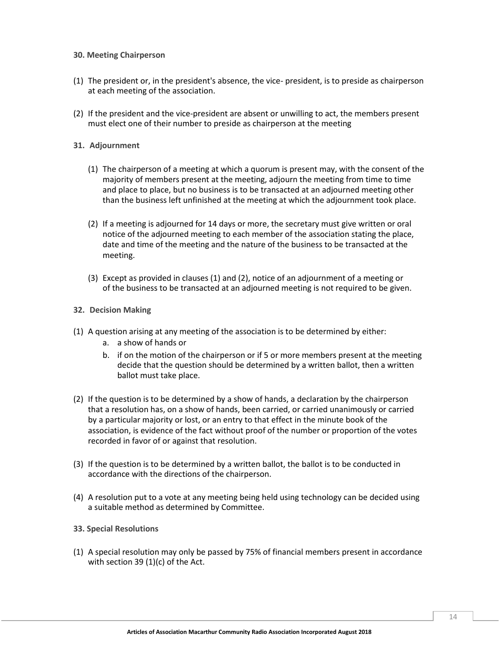#### <span id="page-17-0"></span>**30. Meeting Chairperson**

- (1) The president or, in the president's absence, the vice- president, is to preside as chairperson at each meeting of the association.
- (2) If the president and the vice-president are absent or unwilling to act, the members present must elect one of their number to preside as chairperson at the meeting

#### **31. Adjournment**

- (1) The chairperson of a meeting at which a quorum is present may, with the consent of the majority of members present at the meeting, adjourn the meeting from time to time and place to place, but no business is to be transacted at an adjourned meeting other than the business left unfinished at the meeting at which the adjournment took place.
- (2) If a meeting is adjourned for 14 days or more, the secretary must give written or oral notice of the adjourned meeting to each member of the association stating the place, date and time of the meeting and the nature of the business to be transacted at the meeting.
- (3) Except as provided in clauses (1) and (2), notice of an adjournment of a meeting or of the business to be transacted at an adjourned meeting is not required to be given.

#### **32. Decision Making**

- (1) A question arising at any meeting of the association is to be determined by either:
	- a. a show of hands or
	- b. if on the motion of the chairperson or if 5 or more members present at the meeting decide that the question should be determined by a written ballot, then a written ballot must take place.
- (2) If the question is to be determined by a show of hands, a declaration by the chairperson that a resolution has, on a show of hands, been carried, or carried unanimously or carried by a particular majority or lost, or an entry to that effect in the minute book of the association, is evidence of the fact without proof of the number or proportion of the votes recorded in favor of or against that resolution.
- (3) If the question is to be determined by a written ballot, the ballot is to be conducted in accordance with the directions of the chairperson.
- (4) A resolution put to a vote at any meeting being held using technology can be decided using a suitable method as determined by Committee.

#### **33. Special Resolutions**

(1) A special resolution may only be passed by 75% of financial members present in accordance with section 39 (1)(c) of the Act.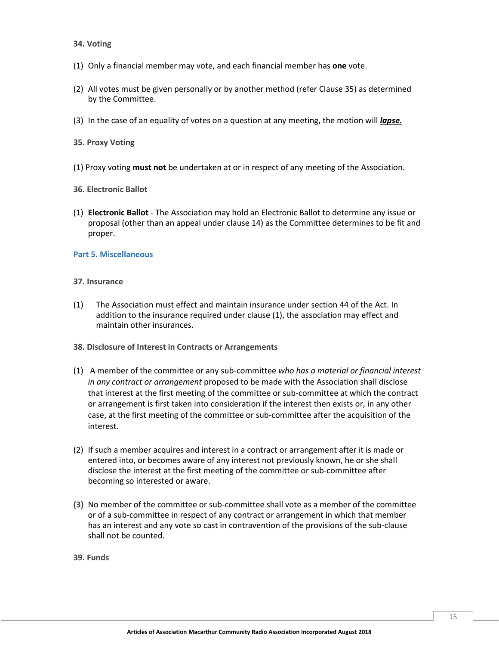#### <span id="page-18-0"></span>**34. Voting**

- (1) Only a financial member may vote, and each financial member has **one** vote.
- (2) All votes must be given personally or by another method (refer Clause 35) as determined by the Committee.
- (3) In the case of an equality of votes on a question at any meeting, the motion will *lapse.*
- **35. Proxy Voting**
- (1) Proxy voting **must not** be undertaken at or in respect of any meeting of the Association.
- **36. Electronic Ballot**
- (1) **Electronic Ballot**  The Association may hold an Electronic Ballot to determine any issue or proposal (other than an appeal under clause 14) as the Committee determines to be fit and proper.

#### <span id="page-18-1"></span>**Part 5. Miscellaneous**

#### **37. Insurance**

- (1) The Association must effect and maintain insurance under section 44 of the Act. In addition to the insurance required under clause (1), the association may effect and maintain other insurances.
- **38. Disclosure of Interest in Contracts or Arrangements**
- (1) A member of the committee or any sub-committee *who has a material or financial interest in any contract or arrangement* proposed to be made with the Association shall disclose that interest at the first meeting of the committee or sub-committee at which the contract or arrangement is first taken into consideration if the interest then exists or, in any other case, at the first meeting of the committee or sub-committee after the acquisition of the interest.
- (2) If such a member acquires and interest in a contract or arrangement after it is made or entered into, or becomes aware of any interest not previously known, he or she shall disclose the interest at the first meeting of the committee or sub-committee after becoming so interested or aware.
- **(3)** No member of the committee or sub-committee shall vote as a member of the committee or of a sub-committee in respect of any contract or arrangement in which that member has an interest and any vote so cast in contravention of the provisions of the sub-clause shall not be counted.
- **39. Funds**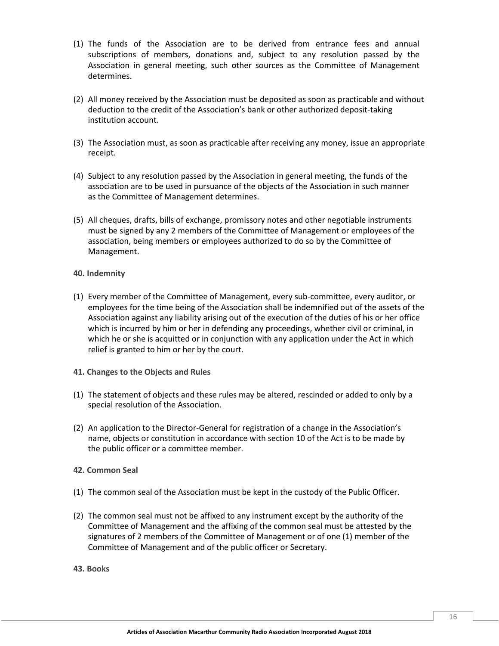- (1) The funds of the Association are to be derived from entrance fees and annual subscriptions of members, donations and, subject to any resolution passed by the Association in general meeting, such other sources as the Committee of Management determines.
- (2) All money received by the Association must be deposited as soon as practicable and without deduction to the credit of the Association's bank or other authorized deposit-taking institution account.
- (3) The Association must, as soon as practicable after receiving any money, issue an appropriate receipt.
- (4) Subject to any resolution passed by the Association in general meeting, the funds of the association are to be used in pursuance of the objects of the Association in such manner as the Committee of Management determines.
- (5) All cheques, drafts, bills of exchange, promissory notes and other negotiable instruments must be signed by any 2 members of the Committee of Management or employees of the association, being members or employees authorized to do so by the Committee of Management.
- <span id="page-19-0"></span>**40. Indemnity**
- (1) Every member of the Committee of Management, every sub-committee, every auditor, or employees for the time being of the Association shall be indemnified out of the assets of the Association against any liability arising out of the execution of the duties of his or her office which is incurred by him or her in defending any proceedings, whether civil or criminal, in which he or she is acquitted or in conjunction with any application under the Act in which relief is granted to him or her by the court.
- **41. Changes to the Objects and Rules**
- (1) The statement of objects and these rules may be altered, rescinded or added to only by a special resolution of the Association.
- (2) An application to the Director-General for registration of a change in the Association's name, objects or constitution in accordance with section 10 of the Act is to be made by the public officer or a committee member.
- **42. Common Seal**
- (1) The common seal of the Association must be kept in the custody of the Public Officer.
- (2) The common seal must not be affixed to any instrument except by the authority of the Committee of Management and the affixing of the common seal must be attested by the signatures of 2 members of the Committee of Management or of one (1) member of the Committee of Management and of the public officer or Secretary.
- **43. Books**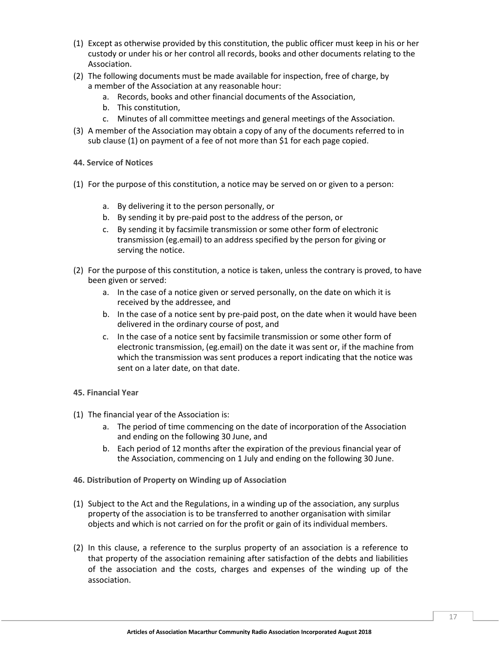- (1) Except as otherwise provided by this constitution, the public officer must keep in his or her custody or under his or her control all records, books and other documents relating to the Association.
- (2) The following documents must be made available for inspection, free of charge, by a member of the Association at any reasonable hour:
	- a. Records, books and other financial documents of the Association,
	- b. This constitution,
	- c. Minutes of all committee meetings and general meetings of the Association.
- (3) A member of the Association may obtain a copy of any of the documents referred to in sub clause (1) on payment of a fee of not more than \$1 for each page copied.
- **44. Service of Notices**
- (1) For the purpose of this constitution, a notice may be served on or given to a person:
	- a. By delivering it to the person personally, or
	- b. By sending it by pre-paid post to the address of the person, or
	- c. By sending it by facsimile transmission or some other form of electronic transmission (eg.email) to an address specified by the person for giving or serving the notice.
- <span id="page-20-0"></span>(2) For the purpose of this constitution, a notice is taken, unless the contrary is proved, to have been given or served:
	- a. In the case of a notice given or served personally, on the date on which it is received by the addressee, and
	- b. In the case of a notice sent by pre-paid post, on the date when it would have been delivered in the ordinary course of post, and
	- c. In the case of a notice sent by facsimile transmission or some other form of electronic transmission, (eg.email) on the date it was sent or, if the machine from which the transmission was sent produces a report indicating that the notice was sent on a later date, on that date.
- **45. Financial Year**
- (1) The financial year of the Association is:
	- a. The period of time commencing on the date of incorporation of the Association and ending on the following 30 June, and
	- b. Each period of 12 months after the expiration of the previous financial year of the Association, commencing on 1 July and ending on the following 30 June.
- **46. Distribution of Property on Winding up of Association**
- (1) Subject to the Act and the Regulations, in a winding up of the association, any surplus property of the association is to be transferred to another organisation with similar objects and which is not carried on for the profit or gain of its individual members.
- (2) In this clause, a reference to the surplus property of an association is a reference to that property of the association remaining after satisfaction of the debts and liabilities of the association and the costs, charges and expenses of the winding up of the association.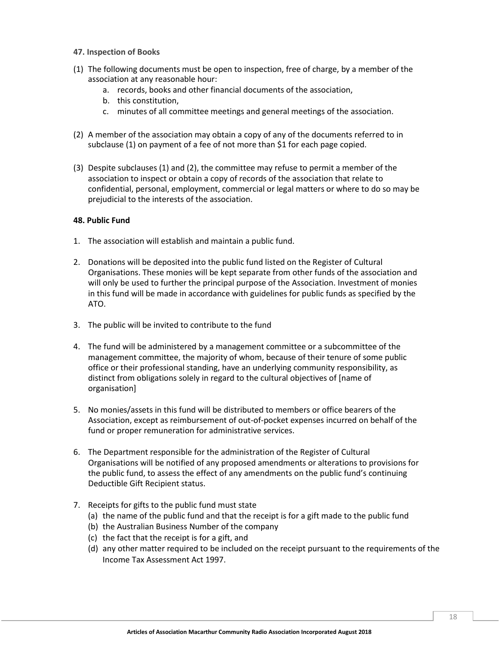- **47. Inspection of Books**
- (1) The following documents must be open to inspection, free of charge, by a member of the association at any reasonable hour:
	- a. records, books and other financial documents of the association,
	- b. this constitution,
	- c. minutes of all committee meetings and general meetings of the association.
- (2) A member of the association may obtain a copy of any of the documents referred to in subclause (1) on payment of a fee of not more than \$1 for each page copied.
- (3) Despite subclauses (1) and (2), the committee may refuse to permit a member of the association to inspect or obtain a copy of records of the association that relate to confidential, personal, employment, commercial or legal matters or where to do so may be prejudicial to the interests of the association.

# **48. Public Fund**

- 1. The association will establish and maintain a public fund.
- 2. Donations will be deposited into the public fund listed on the Register of Cultural Organisations. These monies will be kept separate from other funds of the association and will only be used to further the principal purpose of the Association. Investment of monies in this fund will be made in accordance with guidelines for public funds as specified by the ATO.
- 3. The public will be invited to contribute to the fund
- 4. The fund will be administered by a management committee or a subcommittee of the management committee, the majority of whom, because of their tenure of some public office or their professional standing, have an underlying community responsibility, as distinct from obligations solely in regard to the cultural objectives of [name of organisation]
- 5. No monies/assets in this fund will be distributed to members or office bearers of the Association, except as reimbursement of out-of-pocket expenses incurred on behalf of the fund or proper remuneration for administrative services.
- 6. The Department responsible for the administration of the Register of Cultural Organisations will be notified of any proposed amendments or alterations to provisions for the public fund, to assess the effect of any amendments on the public fund's continuing Deductible Gift Recipient status.
- 7. Receipts for gifts to the public fund must state
	- (a) the name of the public fund and that the receipt is for a gift made to the public fund
	- (b) the Australian Business Number of the company
	- (c) the fact that the receipt is for a gift, and
	- (d) any other matter required to be included on the receipt pursuant to the requirements of the Income Tax Assessment Act 1997.